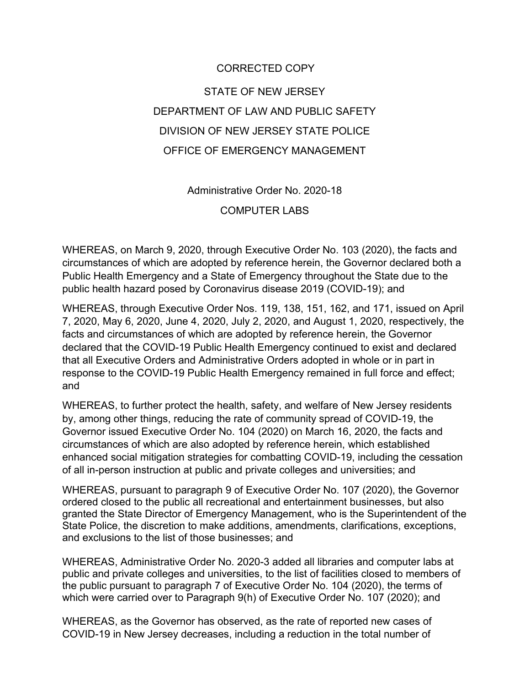## CORRECTED COPY STATE OF NEW JERSEY DEPARTMENT OF LAW AND PUBLIC SAFETY DIVISION OF NEW JERSEY STATE POLICE OFFICE OF EMERGENCY MANAGEMENT

Administrative Order No. 2020-18 COMPUTER LABS

WHEREAS, on March 9, 2020, through Executive Order No. 103 (2020), the facts and circumstances of which are adopted by reference herein, the Governor declared both a Public Health Emergency and a State of Emergency throughout the State due to the public health hazard posed by Coronavirus disease 2019 (COVID-19); and

WHEREAS, through Executive Order Nos. 119, 138, 151, 162, and 171, issued on April 7, 2020, May 6, 2020, June 4, 2020, July 2, 2020, and August 1, 2020, respectively, the facts and circumstances of which are adopted by reference herein, the Governor declared that the COVID-19 Public Health Emergency continued to exist and declared that all Executive Orders and Administrative Orders adopted in whole or in part in response to the COVID-19 Public Health Emergency remained in full force and effect; and

WHEREAS, to further protect the health, safety, and welfare of New Jersey residents by, among other things, reducing the rate of community spread of COVID-19, the Governor issued Executive Order No. 104 (2020) on March 16, 2020, the facts and circumstances of which are also adopted by reference herein, which established enhanced social mitigation strategies for combatting COVID-19, including the cessation of all in-person instruction at public and private colleges and universities; and

WHEREAS, pursuant to paragraph 9 of Executive Order No. 107 (2020), the Governor ordered closed to the public all recreational and entertainment businesses, but also granted the State Director of Emergency Management, who is the Superintendent of the State Police, the discretion to make additions, amendments, clarifications, exceptions, and exclusions to the list of those businesses; and

WHEREAS, Administrative Order No. 2020-3 added all libraries and computer labs at public and private colleges and universities, to the list of facilities closed to members of the public pursuant to paragraph 7 of Executive Order No. 104 (2020), the terms of which were carried over to Paragraph 9(h) of Executive Order No. 107 (2020); and

WHEREAS, as the Governor has observed, as the rate of reported new cases of COVID-19 in New Jersey decreases, including a reduction in the total number of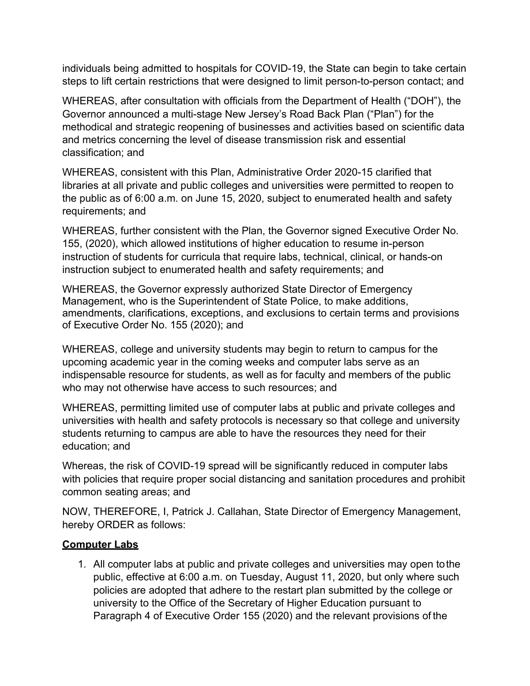individuals being admitted to hospitals for COVID-19, the State can begin to take certain steps to lift certain restrictions that were designed to limit person-to-person contact; and

WHEREAS, after consultation with officials from the Department of Health ("DOH"), the Governor announced a multi-stage New Jersey's Road Back Plan ("Plan") for the methodical and strategic reopening of businesses and activities based on scientific data and metrics concerning the level of disease transmission risk and essential classification; and

WHEREAS, consistent with this Plan, Administrative Order 2020-15 clarified that libraries at all private and public colleges and universities were permitted to reopen to the public as of 6:00 a.m. on June 15, 2020, subject to enumerated health and safety requirements; and

WHEREAS, further consistent with the Plan, the Governor signed Executive Order No. 155, (2020), which allowed institutions of higher education to resume in-person instruction of students for curricula that require labs, technical, clinical, or hands-on instruction subject to enumerated health and safety requirements; and

WHEREAS, the Governor expressly authorized State Director of Emergency Management, who is the Superintendent of State Police, to make additions, amendments, clarifications, exceptions, and exclusions to certain terms and provisions of Executive Order No. 155 (2020); and

WHEREAS, college and university students may begin to return to campus for the upcoming academic year in the coming weeks and computer labs serve as an indispensable resource for students, as well as for faculty and members of the public who may not otherwise have access to such resources; and

WHEREAS, permitting limited use of computer labs at public and private colleges and universities with health and safety protocols is necessary so that college and university students returning to campus are able to have the resources they need for their education; and

Whereas, the risk of COVID-19 spread will be significantly reduced in computer labs with policies that require proper social distancing and sanitation procedures and prohibit common seating areas; and

NOW, THEREFORE, I, Patrick J. Callahan, State Director of Emergency Management, hereby ORDER as follows:

## **Computer Labs**

1. All computer labs at public and private colleges and universities may open tothe public, effective at 6:00 a.m. on Tuesday, August 11, 2020, but only where such policies are adopted that adhere to the restart plan submitted by the college or university to the Office of the Secretary of Higher Education pursuant to Paragraph 4 of Executive Order 155 (2020) and the relevant provisions of the